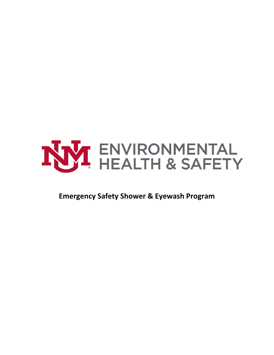

**Emergency Safety Shower & Eyewash Program**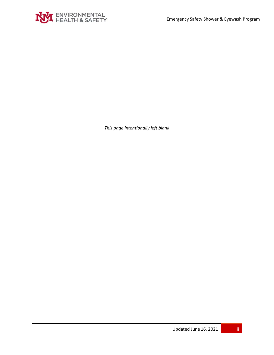

*This page intentionally left blank*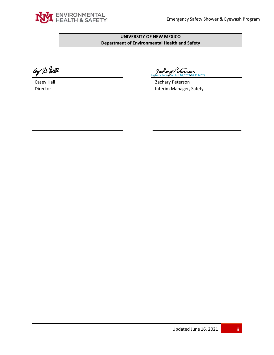

#### **UNIVERSITY OF NEW MEXICO Department of Environmental Health and Safety**

ley 13 Hell

Casey Hall Director

Zachary Peterson<br>[Zachary Peterson \(Jun 16, 2021 16:41 MDT\)](https://secure.na2.echosign.com/verifier?tx=CBJCHBCAABAA-0jIM3DvUo85cD8Tk8RLxh_91LLBdKKX)

Zachary Peterson Interim Manager, Safety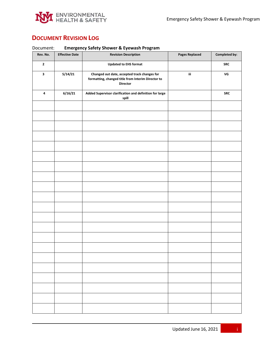

# **DOCUMENT REVISION LOG**

#### Document: **Emergency Safety Shower & Eyewash Program**

| Rev. No.                      | <b>Effective Date</b> | <b>Revision Description</b>                                                                                           |     | Completed by: |  |
|-------------------------------|-----------------------|-----------------------------------------------------------------------------------------------------------------------|-----|---------------|--|
| $\mathbf{2}$                  |                       | <b>Updated to EHS format</b>                                                                                          |     | <b>SRC</b>    |  |
| $\mathbf 3$                   | 5/14/21               | Changed out date, accepted track changes for<br>formatting, changed title from Interim Director to<br><b>Director</b> | iii | VG            |  |
| 6/16/21<br>$\pmb{4}$<br>spill |                       | Added Supervisor clarification and definition for large                                                               |     | <b>SRC</b>    |  |
|                               |                       |                                                                                                                       |     |               |  |
|                               |                       |                                                                                                                       |     |               |  |
|                               |                       |                                                                                                                       |     |               |  |
|                               |                       |                                                                                                                       |     |               |  |
|                               |                       |                                                                                                                       |     |               |  |
|                               |                       |                                                                                                                       |     |               |  |
|                               |                       |                                                                                                                       |     |               |  |
|                               |                       |                                                                                                                       |     |               |  |
|                               |                       |                                                                                                                       |     |               |  |
|                               |                       |                                                                                                                       |     |               |  |
|                               |                       |                                                                                                                       |     |               |  |
|                               |                       |                                                                                                                       |     |               |  |
|                               |                       |                                                                                                                       |     |               |  |
|                               |                       |                                                                                                                       |     |               |  |
|                               |                       |                                                                                                                       |     |               |  |
|                               |                       |                                                                                                                       |     |               |  |
|                               |                       |                                                                                                                       |     |               |  |
|                               |                       |                                                                                                                       |     |               |  |
|                               |                       |                                                                                                                       |     |               |  |
|                               |                       |                                                                                                                       |     |               |  |
|                               |                       |                                                                                                                       |     |               |  |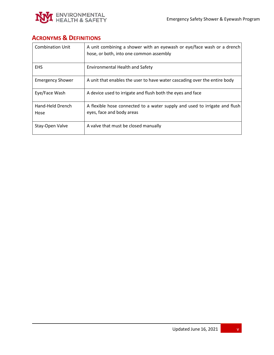

# **ACRONYMS & DEFINITIONS**

| <b>Combination Unit</b>  | A unit combining a shower with an eyewash or eye/face wash or a drench<br>hose, or both, into one common assembly |
|--------------------------|-------------------------------------------------------------------------------------------------------------------|
| <b>EHS</b>               | <b>Environmental Health and Safety</b>                                                                            |
| <b>Emergency Shower</b>  | A unit that enables the user to have water cascading over the entire body                                         |
| Eye/Face Wash            | A device used to irrigate and flush both the eyes and face                                                        |
| Hand-Held Drench<br>Hose | A flexible hose connected to a water supply and used to irrigate and flush<br>eyes, face and body areas           |
| Stay-Open Valve          | A valve that must be closed manually                                                                              |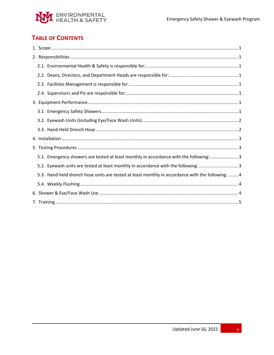

# **TABLE OF CONTENTS**

| 5.1. Emergency showers are tested at least monthly in accordance with the following: 3            |
|---------------------------------------------------------------------------------------------------|
| 5.2. Eyewash units are tested at least monthly in accordance with the following: 3                |
| 5.3. Hand-held drench hose units are tested at least monthly in accordance with the following:  4 |
|                                                                                                   |
|                                                                                                   |
|                                                                                                   |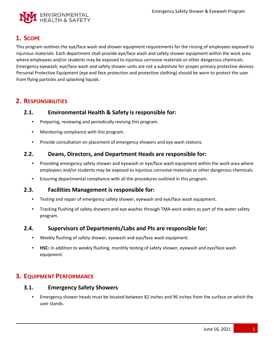<span id="page-6-8"></span>

# <span id="page-6-0"></span>**1. SCOPE**

This program outlines the eye/face wash and shower equipment requirements for the rinsing of employees exposed to injurious materials. Each department shall provide eye/face wash and safety shower equipment within the work area where employees and/or students may be exposed to injurious corrosive materials or other dangerous chemicals. Emergency eyewash, eye/face wash and safety shower units are not a substitute for proper primary protective devices. Personal Protective Equipment (eye and face protection and protective clothing) should be worn to protect the user from flying particles and splashing liquids.

# <span id="page-6-1"></span>**2. RESPONSIBILITIES**

## <span id="page-6-2"></span>**2.1. Environmental Health & Safety is responsible for:**

- Preparing, reviewing and periodically revising this program.
- Monitoring compliance with this program.
- Provide consultation on placement of emergency showers and eye wash stations.

## <span id="page-6-3"></span>**2.2. Deans, Directors, and Department Heads are responsible for:**

- Providing emergency safety shower and eyewash or eye/face wash equipment within the work area where employees and/or students may be exposed to injurious corrosive materials or other dangerous chemicals.
- Ensuring departmental compliance with all the procedures outlined in this program.

## <span id="page-6-4"></span>**2.3. Facilities Management is responsible for:**

- Testing and repair of emergency safety shower, eyewash and eye/face wash equipment.
- Tracking flushing of safety showers and eye washes through TMA work orders as part of the water safety program.

## <span id="page-6-5"></span>**2.4. Supervisors of Departments/Labs and PIs are responsible for:**

- Weekly flushing of safety shower, eyewash and eye/face wash equipment.
- **HSC:** In addition to weekly flushing, monthly testing of safety shower, eyewash and eye/face wash equipment.

# <span id="page-6-6"></span>**3. EQUIPMENT PERFORMANCE**

#### <span id="page-6-7"></span>**3.1. Emergency Safety Showers**

• Emergency shower heads must be located between 82 inches and 96 inches from the surface on which the user stands.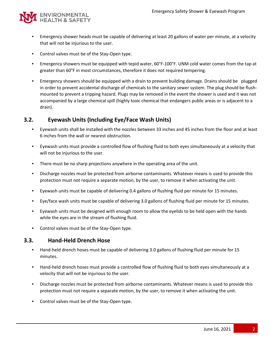<span id="page-7-2"></span>

- Emergency shower heads must be capable of delivering at least 20 gallons of water per minute, at a velocity that will not be injurious to the user.
- Control valves must be of the Stay‐Open type.
- Emergency showers must be equipped with tepid water, 60°F‐100°F. UNM cold water comes from the tap at greater than 60°F in most circumstances, therefore it does not required tempering.
- Emergency showers should be equipped with a drain to prevent building damage. Drains should be plugged in order to prevent accidental discharge of chemicals to the sanitary sewer system. The plug should be flush‐ mounted to prevent a tripping hazard. Plugs may be removed in the event the shower is used and it was not accompanied by a large chemical spill (highly toxic chemical that endangers public areas or is adjacent to a drain).

# <span id="page-7-0"></span>**3.2. Eyewash Units (Including Eye/Face Wash Units)**

- Eyewash units shall be installed with the nozzles between 33 inches and 45 inches from the floor and at least 6 inches from the wall or nearest obstruction.
- Eyewash units must provide a controlled flow of flushing fluid to both eyes simultaneously at a velocity that will not be injurious to the user.
- There must be no sharp projections anywhere in the operating area of the unit.
- Discharge nozzles must be protected from airborne contaminants. Whatever means is used to provide this protection must not require a separate motion, by the user, to remove it when activating the unit.
- Eyewash units must be capable of delivering 0.4 gallons of flushing fluid per minute for 15 minutes.
- Eye/face wash units must be capable of delivering 3.0 gallons of flushing fluid per minute for 15 minutes.
- Eyewash units must be designed with enough room to allow the eyelids to be held open with the hands while the eyes are in the stream of flushing fluid.
- Control valves must be of the Stay-Open type.

#### <span id="page-7-1"></span>**3.3. Hand‐Held Drench Hose**

- Hand‐held drench hoses must be capable of delivering 3.0 gallons of flushing fluid per minute for 15 minutes.
- Hand‐held drench hoses must provide a controlled flow of flushing fluid to both eyes simultaneously at a velocity that will not be injurious to the user.
- Discharge nozzles must be protected from airborne contaminants. Whatever means is used to provide this protection must not require a separate motion, by the user, to remove it when activating the unit.
- Control valves must be of the Stay‐Open type.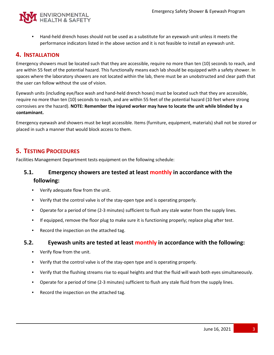<span id="page-8-4"></span>

• Hand‐held drench hoses should not be used as a substitute for an eyewash unit unless it meets the performance indicators listed in the above section and it is not feasible to install an eyewash unit.

## <span id="page-8-0"></span>**4. INSTALLATION**

Emergency showers must be located such that they are accessible, require no more than ten (10) seconds to reach, and are within 55 feet of the potential hazard. This functionally means each lab should be equipped with a safety shower. In spaces where the laboratory showers are not located within the lab, there must be an unobstructed and clear path that the user can follow without the use of vision.

Eyewash units (including eye/face wash and hand‐held drench hoses) must be located such that they are accessible, require no more than ten (10) seconds to reach, and are within 55 feet of the potential hazard (10 feet where strong corrosives are the hazard). **NOTE: Remember the injured worker may have to locate the unit while blinded by a contaminant.** 

Emergency eyewash and showers must be kept accessible. Items (furniture, equipment, materials) shall not be stored or placed in such a manner that would block access to them.

# <span id="page-8-1"></span>**5. TESTING PROCEDURES**

Facilities Management Department tests equipment on the following schedule:

# <span id="page-8-2"></span>**5.1. Emergency showers are tested at least monthly in accordance with the following:**

- Verify adequate flow from the unit.
- Verify that the control valve is of the stay‐open type and is operating properly.
- Operate for a period of time (2-3 minutes) sufficient to flush any stale water from the supply lines.
- If equipped, remove the floor plug to make sure it is functioning properly; replace plug after test.
- Record the inspection on the attached tag.

## <span id="page-8-3"></span>**5.2. Eyewash units are tested at least monthly in accordance with the following:**

- Verify flow from the unit.
- Verify that the control valve is of the stay-open type and is operating properly.
- Verify that the flushing streams rise to equal heights and that the fluid will wash both eyes simultaneously.
- Operate for a period of time (2-3 minutes) sufficient to flush any stale fluid from the supply lines.
- Record the inspection on the attached tag.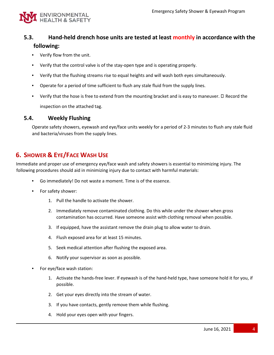<span id="page-9-3"></span>

# <span id="page-9-0"></span>**5.3. Hand‐held drench hose units are tested at least monthly in accordance with the following:**

- Verify flow from the unit.
- Verify that the control valve is of the stay‐open type and is operating properly.
- Verify that the flushing streams rise to equal heights and will wash both eyes simultaneously.
- Operate for a period of time sufficient to flush any stale fluid from the supply lines.
- Verify that the hose is free to extend from the mounting bracket and is easy to maneuver.  $\Box$  Record the inspection on the attached tag.

## <span id="page-9-1"></span>**5.4. Weekly Flushing**

Operate safety showers, eyewash and eye/face units weekly for a period of 2‐3 minutes to flush any stale fluid and bacteria/viruses from the supply lines.

# <span id="page-9-2"></span>**6. SHOWER & EYE/FACE WASH USE**

Immediate and proper use of emergency eye/face wash and safety showers is essential to minimizing injury. The following procedures should aid in minimizing injury due to contact with harmful materials:

- Go immediately! Do not waste a moment. Time is of the essence.
- For safety shower:
	- 1. Pull the handle to activate the shower.
	- 2. Immediately remove contaminated clothing. Do this while under the shower when gross contamination has occurred. Have someone assist with clothing removal when possible.
	- 3. If equipped, have the assistant remove the drain plug to allow water to drain.
	- 4. Flush exposed area for at least 15 minutes.
	- 5. Seek medical attention after flushing the exposed area.
	- 6. Notify your supervisor as soon as possible.
- For eye/face wash station:
	- 1. Activate the hands‐free lever. If eyewash is of the hand‐held type, have someone hold it for you, if possible.
	- 2. Get your eyes directly into the stream of water.
	- 3. If you have contacts, gently remove them while flushing.
	- 4. Hold your eyes open with your fingers.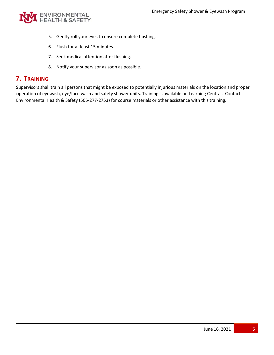<span id="page-10-1"></span>

- 5. Gently roll your eyes to ensure complete flushing.
- 6. Flush for at least 15 minutes.
- 7. Seek medical attention after flushing.
- 8. Notify your supervisor as soon as possible.

#### <span id="page-10-0"></span>**7. TRAINING**

Supervisors shall train all persons that might be exposed to potentially injurious materials on the location and proper operation of eyewash, eye/face wash and safety shower units. Training is available on Learning Central. Contact Environmental Health & Safety (505‐277‐2753) for course materials or other assistance with this training.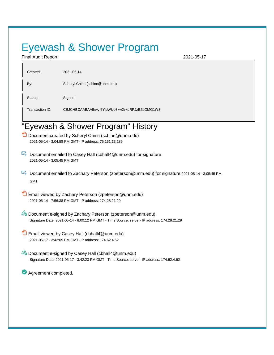# Eyewash & Shower Program

| <b>Final Audit Report</b>                                                                                                                                   |                                                                                                                                                    | 2021-05-17 |  |  |  |
|-------------------------------------------------------------------------------------------------------------------------------------------------------------|----------------------------------------------------------------------------------------------------------------------------------------------------|------------|--|--|--|
| Created:                                                                                                                                                    | 2021-05-14                                                                                                                                         |            |  |  |  |
| By:                                                                                                                                                         | Scheryl Chinn (schinn@unm.edu)                                                                                                                     |            |  |  |  |
|                                                                                                                                                             |                                                                                                                                                    |            |  |  |  |
| Status:                                                                                                                                                     | Signed                                                                                                                                             |            |  |  |  |
| Transaction ID:                                                                                                                                             | CBJCHBCAABAAIhwyf2YlbWUp3kw2vxdRPJzB2bOMG1W8                                                                                                       |            |  |  |  |
| "Eyewash & Shower Program" History                                                                                                                          |                                                                                                                                                    |            |  |  |  |
| Document created by Scheryl Chinn (schinn@unm.edu)<br>2021-05-14 - 3:04:58 PM GMT- IP address: 75.161.13.186                                                |                                                                                                                                                    |            |  |  |  |
| ⊵4<br>Document emailed to Casey Hall (cbhall4@unm.edu) for signature<br>2021-05-14 - 3:05:45 PM GMT                                                         |                                                                                                                                                    |            |  |  |  |
| <b>GMT</b>                                                                                                                                                  | Document emailed to Zachary Peterson (zpeterson@unm.edu) for signature 2021-05-14 - 3:05:45 PM                                                     |            |  |  |  |
| Email viewed by Zachary Peterson (zpeterson@unm.edu)<br>2021-05-14 - 7:56:38 PM GMT-IP address: 174.28.21.29                                                |                                                                                                                                                    |            |  |  |  |
| Co Document e-signed by Zachary Peterson (zpeterson@unm.edu)<br>Signature Date: 2021-05-14 - 8:00:12 PM GMT - Time Source: server- IP address: 174.28.21.29 |                                                                                                                                                    |            |  |  |  |
|                                                                                                                                                             | Email viewed by Casey Hall (cbhall4@unm.edu)<br>2021-05-17 - 3:42:09 PM GMT- IP address: 174.62.4.62                                               |            |  |  |  |
|                                                                                                                                                             | Co Document e-signed by Casey Hall (cbhall4@unm.edu)<br>Signature Date: 2021-05-17 - 3:42:23 PM GMT - Time Source: server- IP address: 174.62.4.62 |            |  |  |  |
|                                                                                                                                                             | Agreement completed.                                                                                                                               |            |  |  |  |